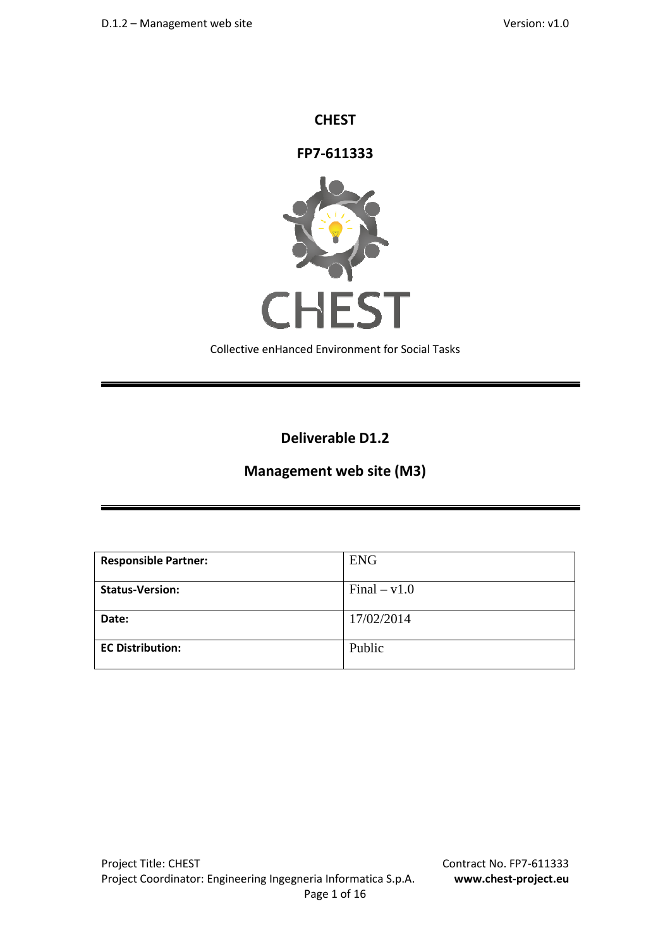### **CHEST**

**FP7-611333**



Collective enHanced Environment for Social Tasks

**Deliverable D1.2** 

# **Management web site (M3)**

| <b>Responsible Partner:</b> | <b>ENG</b>     |
|-----------------------------|----------------|
| <b>Status-Version:</b>      | $Final - v1.0$ |
| Date:                       | 17/02/2014     |
| <b>EC Distribution:</b>     | Public         |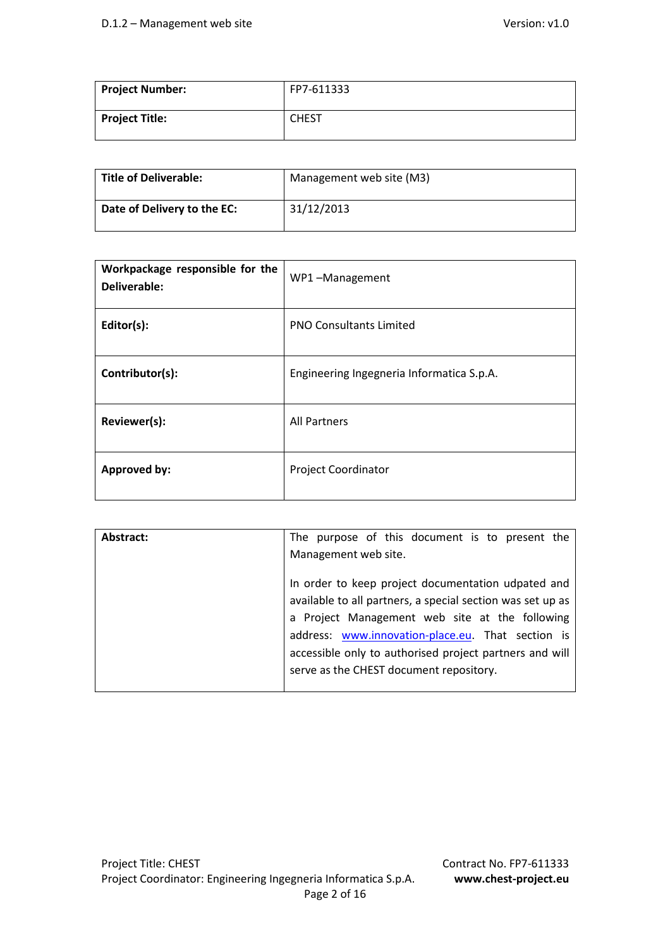| <b>Project Number:</b> | FP7-611333   |
|------------------------|--------------|
| <b>Project Title:</b>  | <b>CHEST</b> |

| Title of Deliverable:       | Management web site (M3) |
|-----------------------------|--------------------------|
| Date of Delivery to the EC: | 31/12/2013               |

| Workpackage responsible for the<br>Deliverable: | WP1-Management                            |
|-------------------------------------------------|-------------------------------------------|
| Editor(s):                                      | <b>PNO Consultants Limited</b>            |
| Contributor(s):                                 | Engineering Ingegneria Informatica S.p.A. |
| Reviewer(s):                                    | <b>All Partners</b>                       |
| Approved by:                                    | <b>Project Coordinator</b>                |

| Abstract: | The purpose of this document is to present the                                                                                                                                                                                                                                                                                |
|-----------|-------------------------------------------------------------------------------------------------------------------------------------------------------------------------------------------------------------------------------------------------------------------------------------------------------------------------------|
|           | Management web site.                                                                                                                                                                                                                                                                                                          |
|           | In order to keep project documentation udpated and<br>available to all partners, a special section was set up as<br>a Project Management web site at the following<br>address: www.innovation-place.eu. That section is<br>accessible only to authorised project partners and will<br>serve as the CHEST document repository. |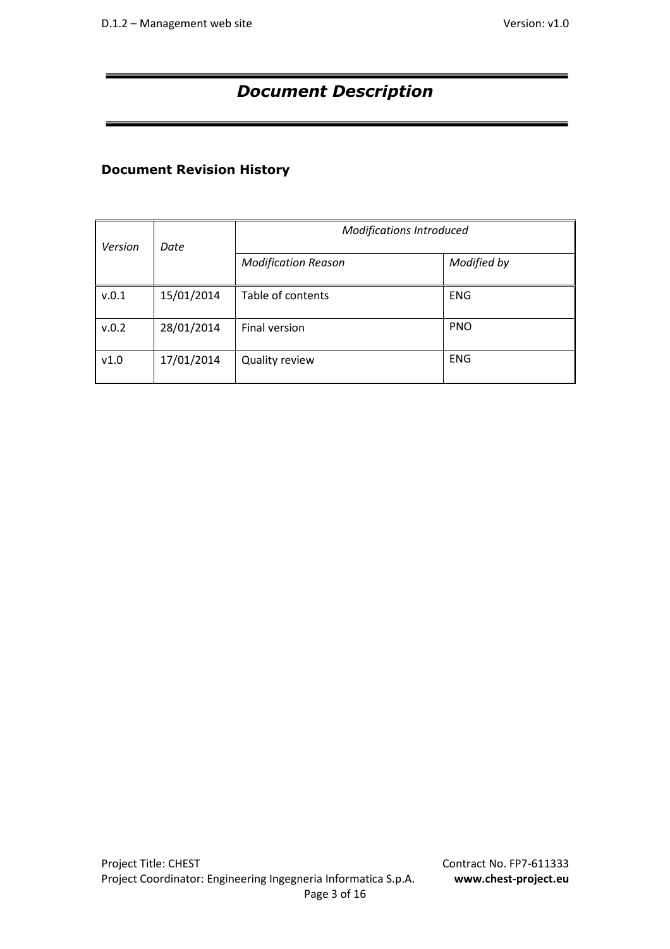# *Document Description*

# **Document Revision History**

| Version | Date       | <b>Modifications Introduced</b> |             |  |
|---------|------------|---------------------------------|-------------|--|
|         |            | <b>Modification Reason</b>      | Modified by |  |
| v.0.1   | 15/01/2014 | Table of contents               | <b>ENG</b>  |  |
| v.0.2   | 28/01/2014 | Final version                   | <b>PNO</b>  |  |
| v1.0    | 17/01/2014 | Quality review                  | <b>ENG</b>  |  |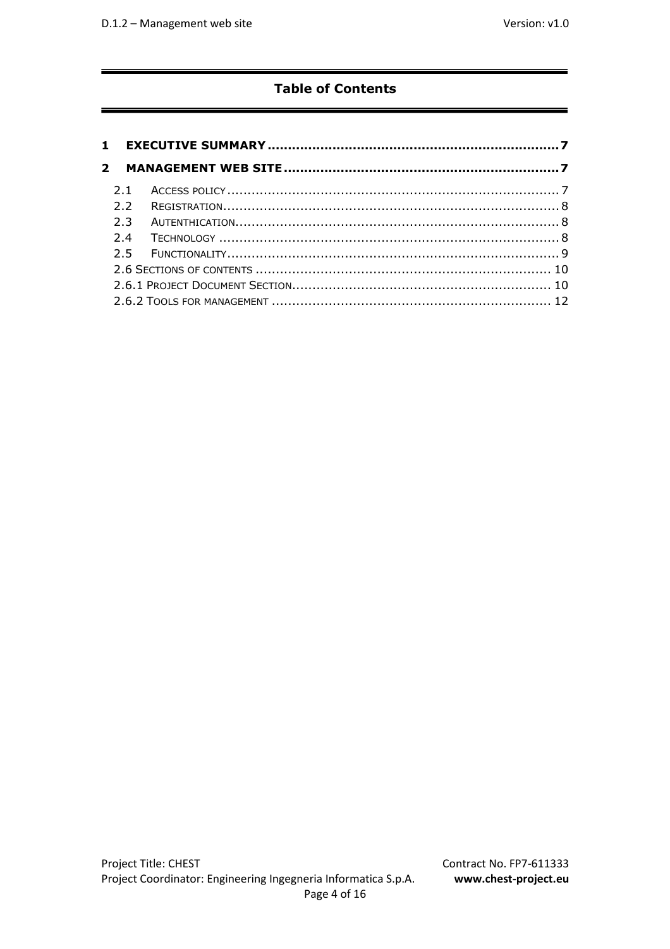# **Table of Contents**

| 2.1 |  |
|-----|--|
| 22  |  |
| 2.3 |  |
| 24  |  |
|     |  |
|     |  |
|     |  |
|     |  |
|     |  |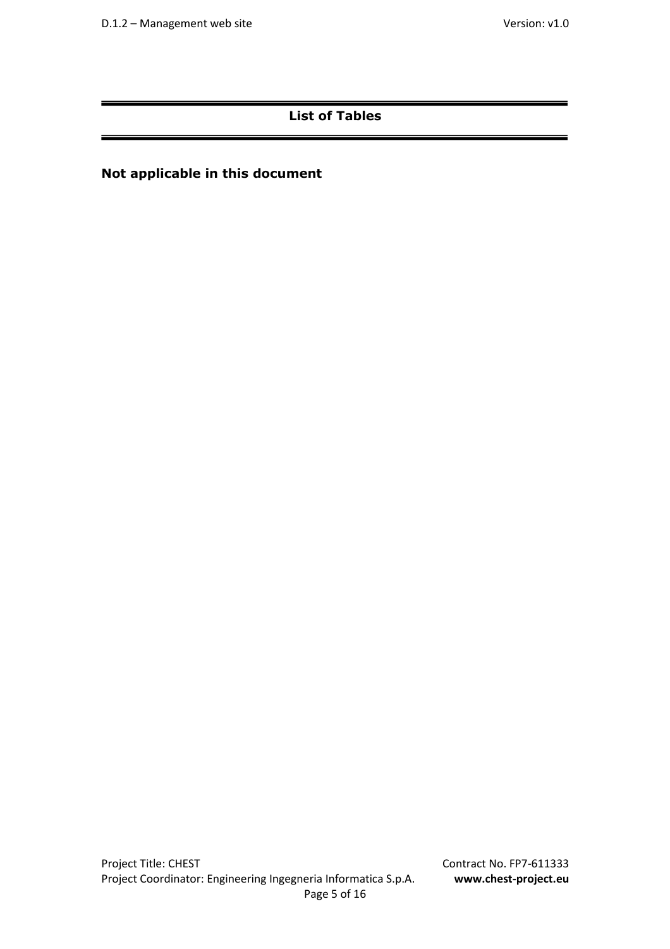# **List of Tables**

# **Not applicable in this document**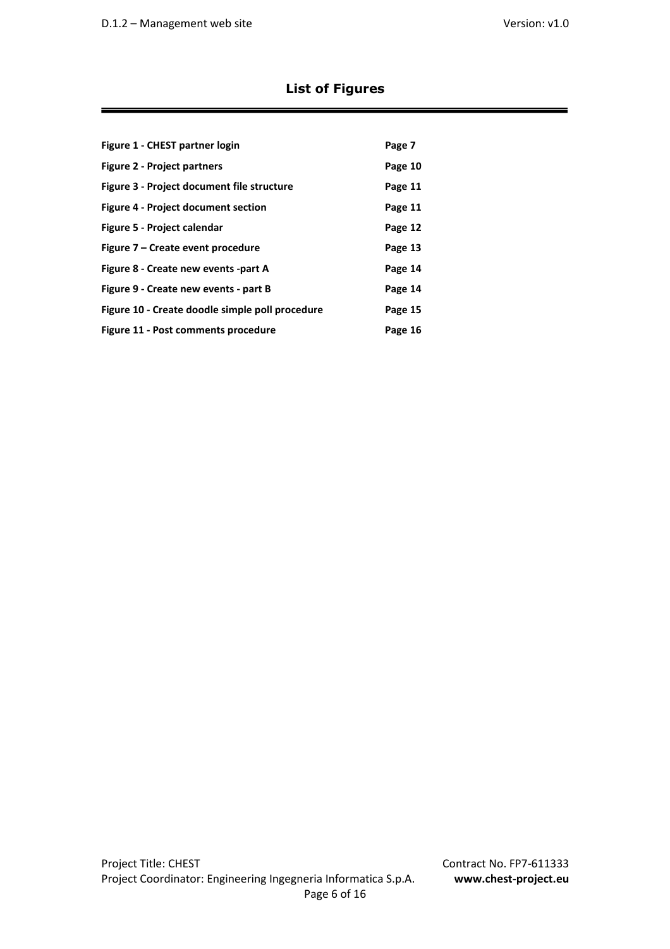# **List of Figures**

| Figure 1 - CHEST partner login                  | Page 7  |
|-------------------------------------------------|---------|
| <b>Figure 2 - Project partners</b>              | Page 10 |
| Figure 3 - Project document file structure      | Page 11 |
| <b>Figure 4 - Project document section</b>      | Page 11 |
| Figure 5 - Project calendar                     | Page 12 |
| Figure 7 – Create event procedure               | Page 13 |
| Figure 8 - Create new events -part A            | Page 14 |
| Figure 9 - Create new events - part B           | Page 14 |
| Figure 10 - Create doodle simple poll procedure | Page 15 |
| Figure 11 - Post comments procedure             | Page 16 |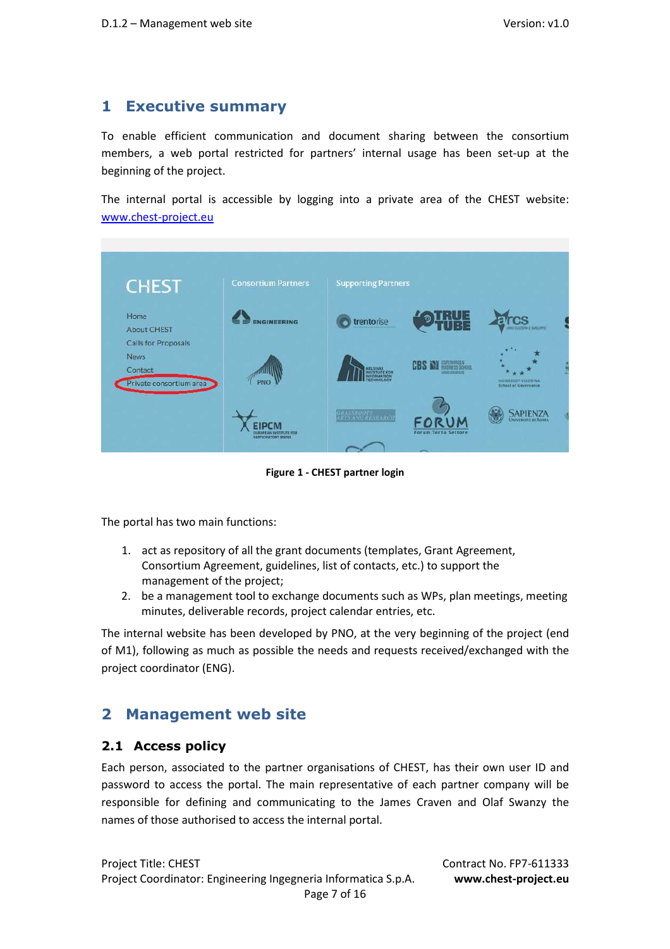# **1 Executive summary**

To enable efficient communication and document sharing between the consortium members, a web portal restricted for partners' internal usage has been set-up at the beginning of the project.

The internal portal is accessible by logging into a private area of the CHEST website: www.chest-project.eu



**Figure 1 - CHEST partner login** 

The portal has two main functions:

- 1. act as repository of all the grant documents (templates, Grant Agreement, Consortium Agreement, guidelines, list of contacts, etc.) to support the management of the project;
- 2. be a management tool to exchange documents such as WPs, plan meetings, meeting minutes, deliverable records, project calendar entries, etc.

The internal website has been developed by PNO, at the very beginning of the project (end of M1), following as much as possible the needs and requests received/exchanged with the project coordinator (ENG).

# **2 Management web site**

### **2.1 Access policy**

Each person, associated to the partner organisations of CHEST, has their own user ID and password to access the portal. The main representative of each partner company will be responsible for defining and communicating to the James Craven and Olaf Swanzy the names of those authorised to access the internal portal.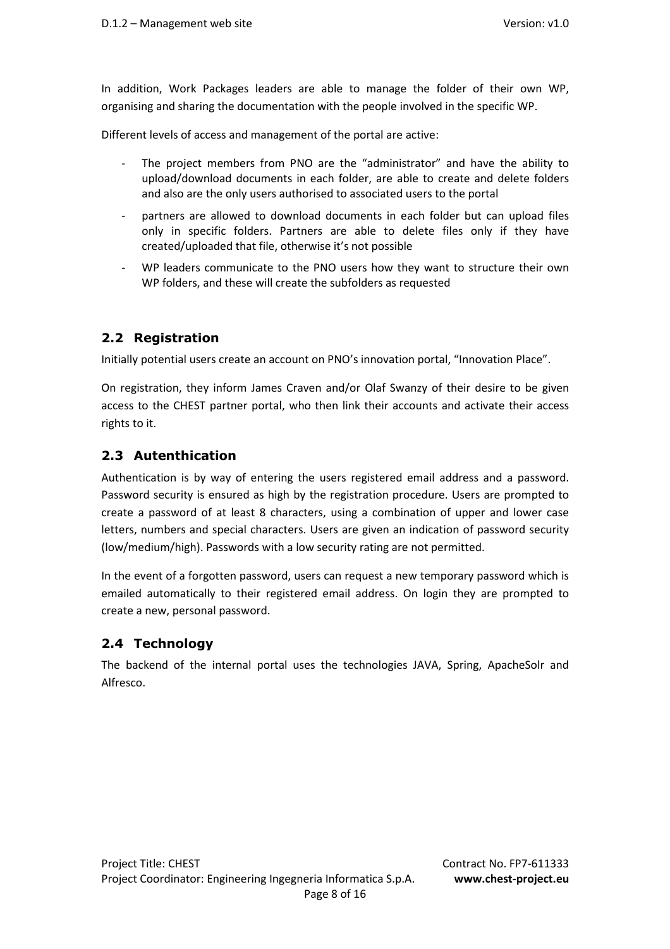In addition, Work Packages leaders are able to manage the folder of their own WP, organising and sharing the documentation with the people involved in the specific WP.

Different levels of access and management of the portal are active:

- The project members from PNO are the "administrator" and have the ability to upload/download documents in each folder, are able to create and delete folders and also are the only users authorised to associated users to the portal
- partners are allowed to download documents in each folder but can upload files only in specific folders. Partners are able to delete files only if they have created/uploaded that file, otherwise it's not possible
- WP leaders communicate to the PNO users how they want to structure their own WP folders, and these will create the subfolders as requested

### **2.2 Registration**

Initially potential users create an account on PNO's innovation portal, "Innovation Place".

On registration, they inform James Craven and/or Olaf Swanzy of their desire to be given access to the CHEST partner portal, who then link their accounts and activate their access rights to it.

### **2.3 Autenthication**

Authentication is by way of entering the users registered email address and a password. Password security is ensured as high by the registration procedure. Users are prompted to create a password of at least 8 characters, using a combination of upper and lower case letters, numbers and special characters. Users are given an indication of password security (low/medium/high). Passwords with a low security rating are not permitted.

In the event of a forgotten password, users can request a new temporary password which is emailed automatically to their registered email address. On login they are prompted to create a new, personal password.

### **2.4 Technology**

The backend of the internal portal uses the technologies JAVA, Spring, ApacheSolr and Alfresco.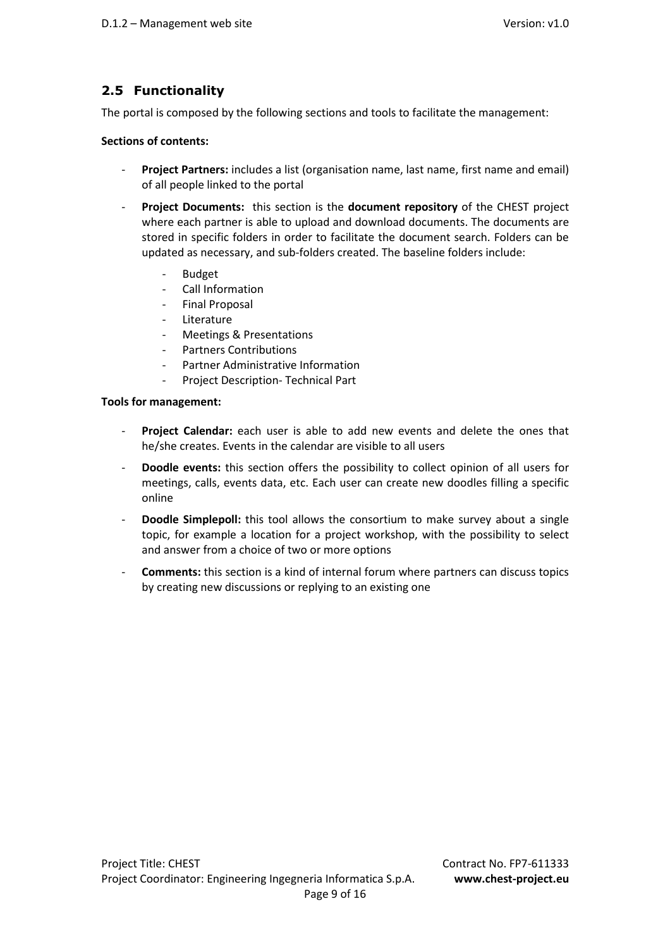# **2.5 Functionality**

The portal is composed by the following sections and tools to facilitate the management:

### **Sections of contents:**

- Project Partners: includes a list (organisation name, last name, first name and email) of all people linked to the portal
- **Project Documents:** this section is the **document repository** of the CHEST project where each partner is able to upload and download documents. The documents are stored in specific folders in order to facilitate the document search. Folders can be updated as necessary, and sub-folders created. The baseline folders include:
	- **Budget**
	- Call Information
	- Final Proposal
	- Literature
	- Meetings & Presentations
	- Partners Contributions
	- Partner Administrative Information
	- Project Description- Technical Part

### **Tools for management:**

- Project Calendar: each user is able to add new events and delete the ones that he/she creates. Events in the calendar are visible to all users
- **Doodle events:** this section offers the possibility to collect opinion of all users for meetings, calls, events data, etc. Each user can create new doodles filling a specific online
- **Doodle Simplepoll:** this tool allows the consortium to make survey about a single topic, for example a location for a project workshop, with the possibility to select and answer from a choice of two or more options
- **Comments:** this section is a kind of internal forum where partners can discuss topics by creating new discussions or replying to an existing one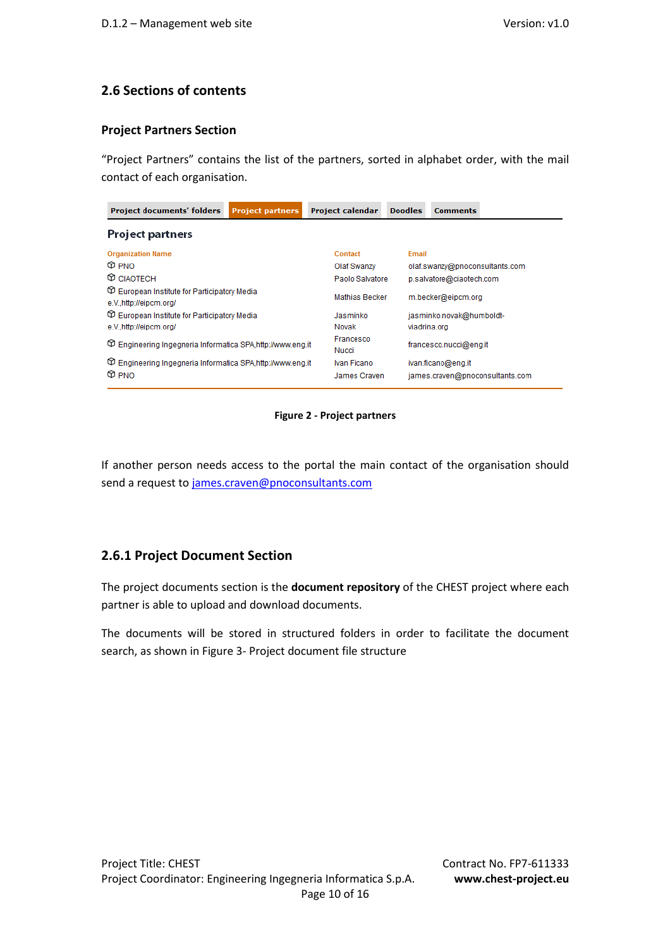### **2.6 Sections of contents**

### **Project Partners Section**

"Project Partners" contains the list of the partners, sorted in alphabet order, with the mail contact of each organisation.

| <b>Project documents' folders</b>                                                   | <b>Project partners</b> | <b>Project calendar</b>     | <b>Doodles</b>                              | <b>Comments</b>                |                                 |  |  |
|-------------------------------------------------------------------------------------|-------------------------|-----------------------------|---------------------------------------------|--------------------------------|---------------------------------|--|--|
| Project partners                                                                    |                         |                             |                                             |                                |                                 |  |  |
| <b>Organization Name</b>                                                            |                         | Contact                     | Email                                       |                                |                                 |  |  |
| $\circledcirc$ PNO                                                                  |                         | Olaf Swanzy                 |                                             | olaf.swanzy@pnoconsultants.com |                                 |  |  |
| <b>CD</b> CIAOTECH                                                                  |                         |                             | Paolo Salvatore<br>p.salvatore@ciaotech.com |                                |                                 |  |  |
| <b>European Institute for Participatory Media</b><br>e.V.,http://eipcm.org/         |                         |                             | <b>Mathias Becker</b><br>m.becker@eipcm.org |                                |                                 |  |  |
| <b>European Institute for Participatory Media</b>                                   |                         | Jasminko                    | jasminko.novak@humboldt-                    |                                |                                 |  |  |
| e.Vhttp://eipcm.org/                                                                |                         | Novak                       |                                             | viadrina.org                   |                                 |  |  |
| The Engineering Ingegneria Informatica SPA, http://www.eng.it                       |                         | Francesco<br>Nucci          |                                             | francesco.nucci@eng.it         |                                 |  |  |
| The Engineering Ingegneria Informatica SPA, http://www.eng.it<br>$\circledcirc$ PNO |                         | Ivan Ficano<br>James Craven |                                             | ivan.ficano@eng.it             | james.craven@pnoconsultants.com |  |  |

### **Figure 2 - Project partners**

If another person needs access to the portal the main contact of the organisation should send a request to james.craven@pnoconsultants.com

### **2.6.1 Project Document Section**

The project documents section is the **document repository** of the CHEST project where each partner is able to upload and download documents.

The documents will be stored in structured folders in order to facilitate the document search, as shown in Figure 3- Project document file structure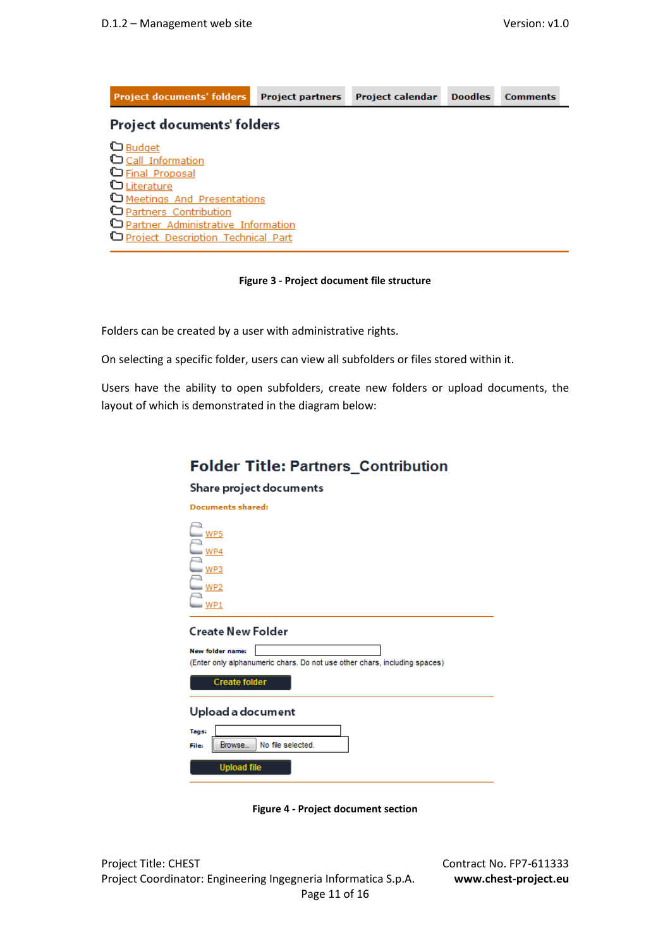| <b>Project documents' folders</b>           | <b>Project partners</b> | <b>Project calendar</b> | <b>Doodles</b> | <b>Comments</b> |  |  |  |
|---------------------------------------------|-------------------------|-------------------------|----------------|-----------------|--|--|--|
| Project documents' folders                  |                         |                         |                |                 |  |  |  |
| <b>D</b> Budget                             |                         |                         |                |                 |  |  |  |
| C Call Information                          |                         |                         |                |                 |  |  |  |
| <b>D</b> Final Proposal                     |                         |                         |                |                 |  |  |  |
| Literature<br>Meetings And Presentations    |                         |                         |                |                 |  |  |  |
| <b>D</b> Partners Contribution              |                         |                         |                |                 |  |  |  |
| <b>D</b> Partner Administrative Information |                         |                         |                |                 |  |  |  |
| Project Description Technical Part          |                         |                         |                |                 |  |  |  |

#### **Figure 3 - Project document file structure**

Folders can be created by a user with administrative rights.

On selecting a specific folder, users can view all subfolders or files stored within it.

Users have the ability to open subfolders, create new folders or upload documents, the layout of which is demonstrated in the diagram below:

# **Folder Title: Partners Contribution**

#### Share project documents



**Figure 4 - Project document section** 

Project Title: CHEST Contract No. FP7-611333 Project Coordinator: Engineering Ingegneria Informatica S.p.A. **www.chest-project.eu** Page 11 of 16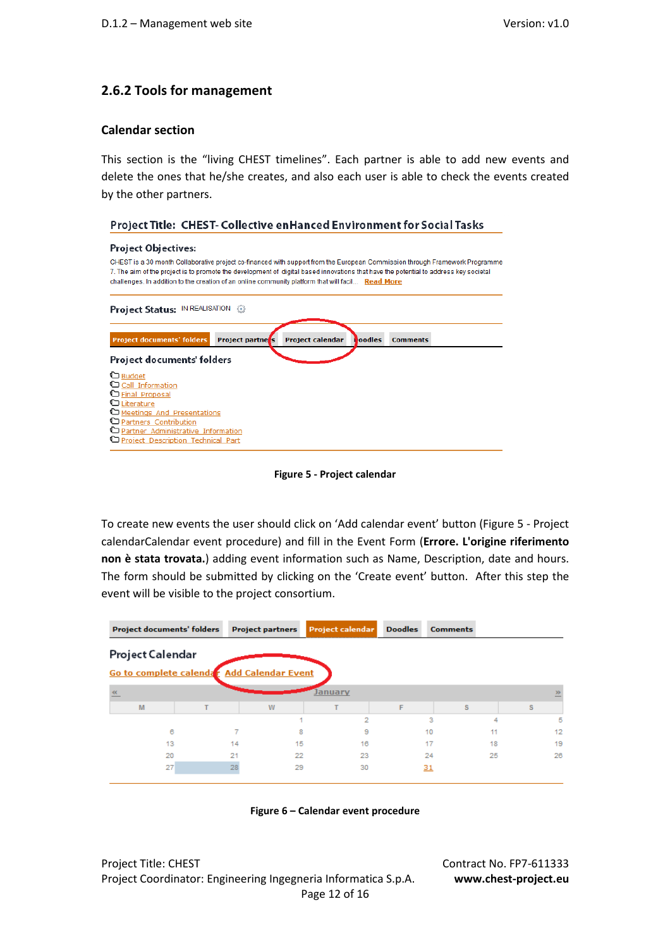### **2.6.2 Tools for management**

#### **Calendar section**

This section is the "living CHEST timelines". Each partner is able to add new events and delete the ones that he/she creates, and also each user is able to check the events created by the other partners.

### Project Title: CHEST- Collective en Hanced Environment for Social Tasks

| <b>Project Objectives:</b>                                                                                                                                                                                                                                                                                                                                               |  |  |  |  |  |
|--------------------------------------------------------------------------------------------------------------------------------------------------------------------------------------------------------------------------------------------------------------------------------------------------------------------------------------------------------------------------|--|--|--|--|--|
| CHEST is a 30 month Collaborative project co-financed with support from the European Commission through Framework Programme<br>7. The aim of the project is to promote the development of digital based innovations that have the potential to address key societal<br>challenges. In addition to the creation of an online community platform that will facil Read More |  |  |  |  |  |
| Project Status: IN REALISATION @                                                                                                                                                                                                                                                                                                                                         |  |  |  |  |  |
| <b>Project documents' folders</b><br><b>Project partness</b><br>Project calendar<br><b>Poodles</b><br><b>Comments</b>                                                                                                                                                                                                                                                    |  |  |  |  |  |
| Project documents' folders                                                                                                                                                                                                                                                                                                                                               |  |  |  |  |  |
| <b>D</b> Budget<br>Call Information<br>G Final Proposal<br>Literature<br>Meetings And Presentations<br>Partners Contribution<br>Partner Administrative Information<br>Project Description Technical Part                                                                                                                                                                 |  |  |  |  |  |

**Figure 5 - Project calendar** 

To create new events the user should click on 'Add calendar event' button (Figure 5 - Project calendarCalendar event procedure) and fill in the Event Form (**Errore. L'origine riferimento non è stata trovata.**) adding event information such as Name, Description, date and hours. The form should be submitted by clicking on the 'Create event' button. After this step the event will be visible to the project consortium.

|   | <b>Project documents' folders</b> | <b>Project partners</b>                    | <b>Project calendar</b> | <b>Doodles</b> | <b>Comments</b> |    |  |
|---|-----------------------------------|--------------------------------------------|-------------------------|----------------|-----------------|----|--|
|   | Project Calendar                  |                                            |                         |                |                 |    |  |
|   |                                   | Go to complete calendar Add Calendar Event |                         |                |                 |    |  |
|   |                                   |                                            | January                 |                |                 | ≥  |  |
| M |                                   | w                                          |                         | F              | s               | s  |  |
|   |                                   |                                            | 2                       | з              | 4               | 5  |  |
|   | 6                                 |                                            | 8<br>9                  | 10             |                 | 12 |  |
|   | 13                                | 14                                         | 15<br>16                | 17             | 18              | 19 |  |
|   | 20                                | 21                                         | 22<br>23                | 24             | 25              | 26 |  |
|   | 27                                | 28                                         | 29<br>30                | 31             |                 |    |  |



Project Title: CHEST Contract No. FP7-611333 Project Coordinator: Engineering Ingegneria Informatica S.p.A. **www.chest-project.eu** Page 12 of 16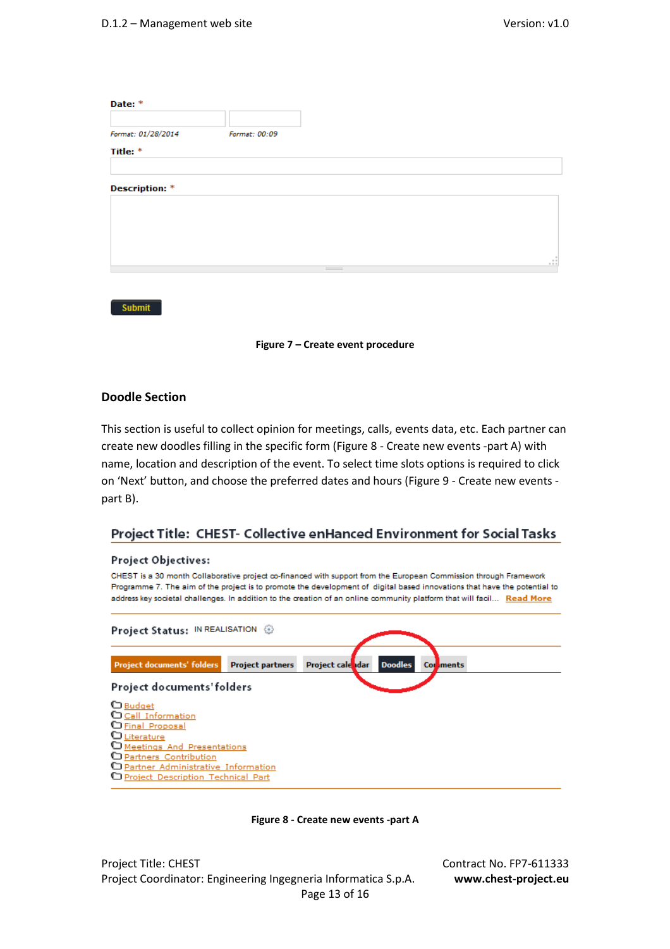| Date: *               |                  |             |
|-----------------------|------------------|-------------|
| Format: 01/28/2014    | Format: 00:09    |             |
| Title: *              |                  |             |
| <b>Description: *</b> |                  |             |
|                       |                  |             |
|                       |                  |             |
|                       | $\sim$ 100 $\pm$ | $\cdot$ : : |
|                       |                  |             |
|                       |                  |             |



### **Doodle Section**

Submit

This section is useful to collect opinion for meetings, calls, events data, etc. Each partner can create new doodles filling in the specific form (Figure 8 - Create new events -part A) with name, location and description of the event. To select time slots options is required to click on 'Next' button, and choose the preferred dates and hours (Figure 9 - Create new events part B).

### Project Title: CHEST- Collective enHanced Environment for Social Tasks

### Project Objectives:

CHEST is a 30 month Collaborative project co-financed with support from the European Commission through Framework Programme 7. The aim of the project is to promote the development of digital based innovations that have the potential to address key societal challenges. In addition to the creation of an online community platform that will facil... Read More





Project Title: CHEST Contract No. FP7-611333 Project Coordinator: Engineering Ingegneria Informatica S.p.A. **www.chest-project.eu** Page 13 of 16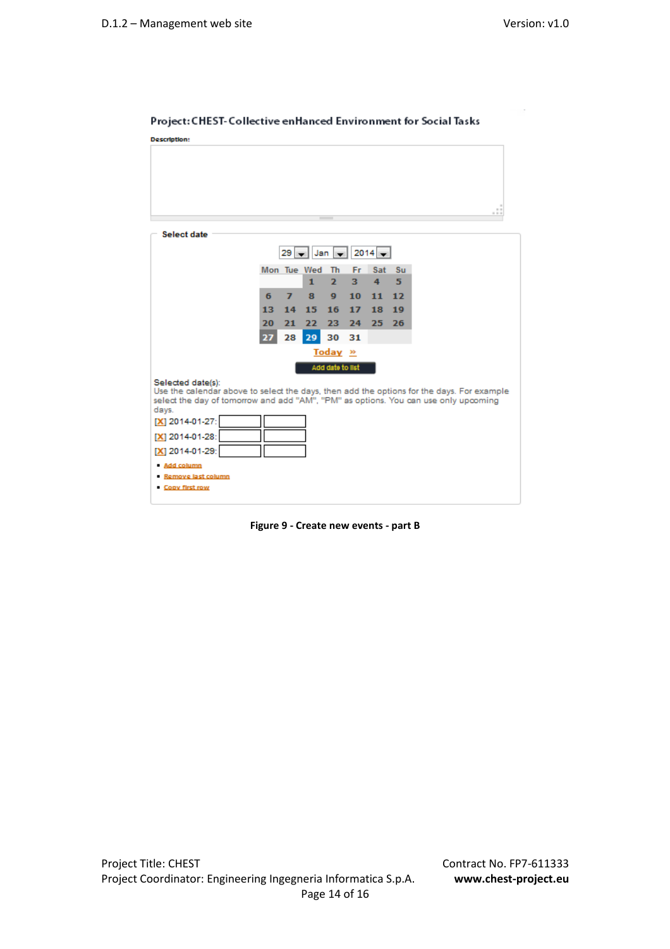| ____<br>______<br>-------- |
|----------------------------|
| <b>Description:</b>        |
|                            |
|                            |

#### Project: CHEST-Collective enHanced Environment for Social Tasks



**Figure 9 - Create new events - part B**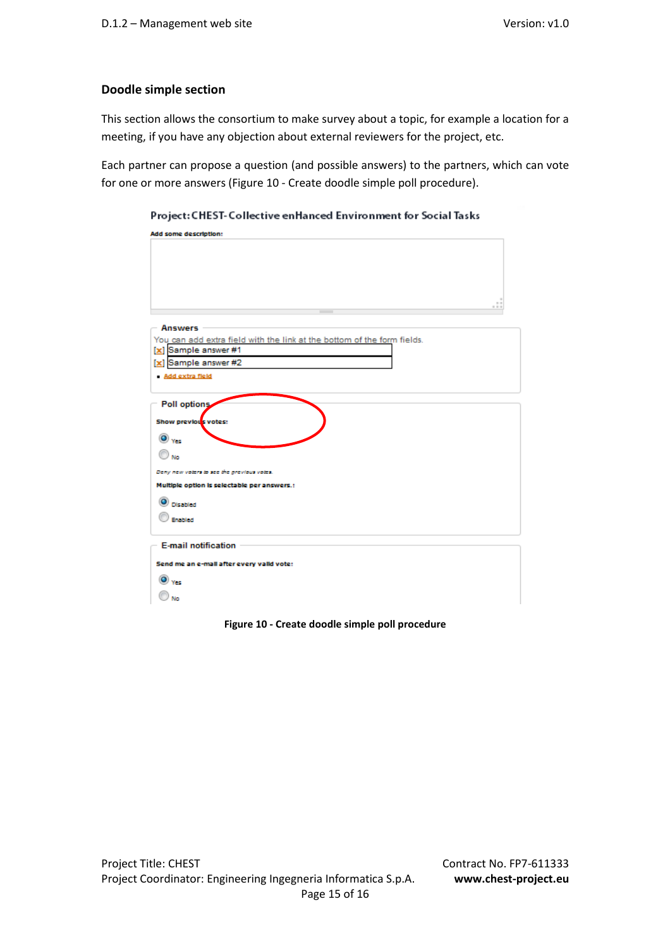### **Doodle simple section**

This section allows the consortium to make survey about a topic, for example a location for a meeting, if you have any objection about external reviewers for the project, etc.

Each partner can propose a question (and possible answers) to the partners, which can vote for one or more answers (Figure 10 - Create doodle simple poll procedure).

| Project: Chest-Conective emianced Environment for Social Iasks<br>Add some description: |  |  |  |  |
|-----------------------------------------------------------------------------------------|--|--|--|--|
|                                                                                         |  |  |  |  |
|                                                                                         |  |  |  |  |
|                                                                                         |  |  |  |  |
|                                                                                         |  |  |  |  |
|                                                                                         |  |  |  |  |
|                                                                                         |  |  |  |  |
|                                                                                         |  |  |  |  |
| <b>Answers</b>                                                                          |  |  |  |  |
| You can add extra field with the link at the bottom of the form fields.                 |  |  |  |  |
| [x] Sample answer #1                                                                    |  |  |  |  |
| [x] Sample answer #2                                                                    |  |  |  |  |
| Add extra field                                                                         |  |  |  |  |
|                                                                                         |  |  |  |  |
|                                                                                         |  |  |  |  |
| Poll options                                                                            |  |  |  |  |
| Show previous votes:                                                                    |  |  |  |  |
|                                                                                         |  |  |  |  |
| $\bullet$ $\mathbf{v}_{\mathbf{G}}$                                                     |  |  |  |  |
| No                                                                                      |  |  |  |  |
| Deny new voters to see the previous votes.                                              |  |  |  |  |
|                                                                                         |  |  |  |  |
| Multiple option is selectable per answers.:                                             |  |  |  |  |
| Disabled                                                                                |  |  |  |  |
| Enabled                                                                                 |  |  |  |  |
|                                                                                         |  |  |  |  |
|                                                                                         |  |  |  |  |
| <b>E-mail notification</b>                                                              |  |  |  |  |
| Send me an e-mail after every valid vote:                                               |  |  |  |  |
|                                                                                         |  |  |  |  |
| Yes:                                                                                    |  |  |  |  |
|                                                                                         |  |  |  |  |
|                                                                                         |  |  |  |  |

Project: CHEST-Collective enHanced Environment for Social Tasks

**Figure 10 - Create doodle simple poll procedure**